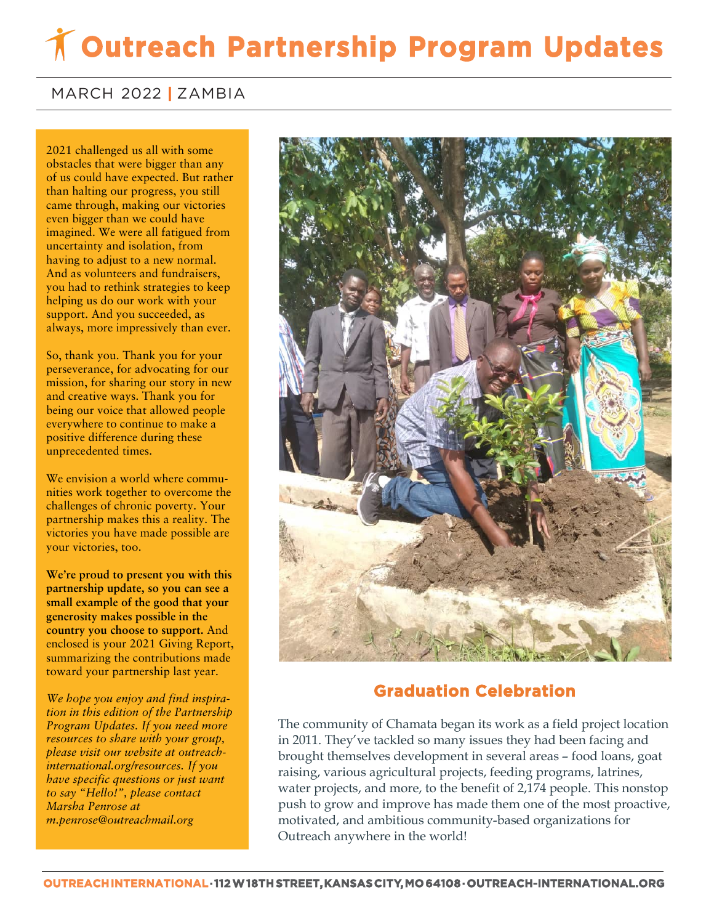## **Outreach Partnership Program Updates**

## MARCH 2022 **|** ZAMBIA

2021 challenged us all with some obstacles that were bigger than any of us could have expected. But rather than halting our progress, you still came through, making our victories even bigger than we could have imagined. We were all fatigued from uncertainty and isolation, from having to adjust to a new normal. And as volunteers and fundraisers, you had to rethink strategies to keep helping us do our work with your support. And you succeeded, as always, more impressively than ever.

So, thank you. Thank you for your perseverance, for advocating for our mission, for sharing our story in new and creative ways. Thank you for being our voice that allowed people everywhere to continue to make a positive difference during these unprecedented times.

We envision a world where communities work together to overcome the challenges of chronic poverty. Your partnership makes this a reality. The victories you have made possible are your victories, too.

**We're proud to present you with this partnership update, so you can see a small example of the good that your generosity makes possible in the country you choose to support.** And enclosed is your 2021 Giving Report, summarizing the contributions made toward your partnership last year.

*We hope you enjoy and find inspiration in this edition of the Partnership Program Updates. If you need more resources to share with your group, please visit our website at outreachinternational.org/resources. If you have specific questions or just want to say "Hello!", please contact Marsha Penrose at m.penrose@outreachmail.org*



## **Graduation Celebration**

The community of Chamata began its work as a field project location in 2011. They've tackled so many issues they had been facing and brought themselves development in several areas – food loans, goat raising, various agricultural projects, feeding programs, latrines, water projects, and more, to the benefit of 2,174 people. This nonstop push to grow and improve has made them one of the most proactive, motivated, and ambitious community-based organizations for Outreach anywhere in the world!